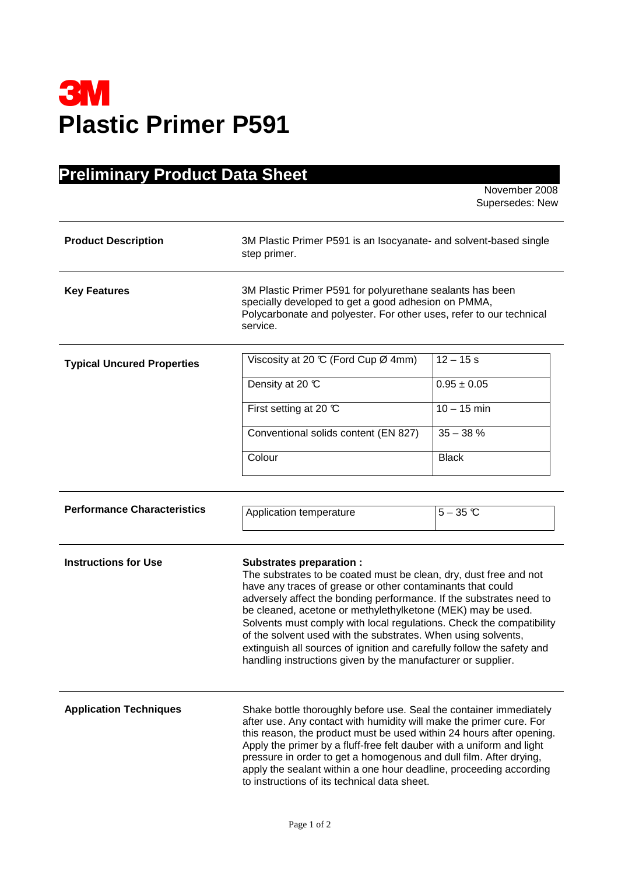

## **Preliminary Product Data Sheet**

November 2008 Supersedes: New

| <b>Product Description</b>         | 3M Plastic Primer P591 is an Isocyanate- and solvent-based single<br>step primer.                                                                                                                                                                                                                                                                                                                                                                                                                                                                                                          |                 |  |
|------------------------------------|--------------------------------------------------------------------------------------------------------------------------------------------------------------------------------------------------------------------------------------------------------------------------------------------------------------------------------------------------------------------------------------------------------------------------------------------------------------------------------------------------------------------------------------------------------------------------------------------|-----------------|--|
| <b>Key Features</b>                | 3M Plastic Primer P591 for polyurethane sealants has been<br>specially developed to get a good adhesion on PMMA,<br>Polycarbonate and polyester. For other uses, refer to our technical<br>service.                                                                                                                                                                                                                                                                                                                                                                                        |                 |  |
| <b>Typical Uncured Properties</b>  | Viscosity at 20 °C (Ford Cup Ø 4mm)                                                                                                                                                                                                                                                                                                                                                                                                                                                                                                                                                        | $12 - 15s$      |  |
|                                    | Density at 20 °C                                                                                                                                                                                                                                                                                                                                                                                                                                                                                                                                                                           | $0.95 \pm 0.05$ |  |
|                                    | First setting at 20 $\mathbb C$                                                                                                                                                                                                                                                                                                                                                                                                                                                                                                                                                            | $10 - 15$ min   |  |
|                                    | Conventional solids content (EN 827)                                                                                                                                                                                                                                                                                                                                                                                                                                                                                                                                                       | $35 - 38%$      |  |
|                                    | Colour                                                                                                                                                                                                                                                                                                                                                                                                                                                                                                                                                                                     | <b>Black</b>    |  |
|                                    |                                                                                                                                                                                                                                                                                                                                                                                                                                                                                                                                                                                            |                 |  |
| <b>Performance Characteristics</b> | Application temperature                                                                                                                                                                                                                                                                                                                                                                                                                                                                                                                                                                    | $5-35$ °C       |  |
| <b>Instructions for Use</b>        | <b>Substrates preparation:</b><br>The substrates to be coated must be clean, dry, dust free and not<br>have any traces of grease or other contaminants that could<br>adversely affect the bonding performance. If the substrates need to<br>be cleaned, acetone or methylethylketone (MEK) may be used.<br>Solvents must comply with local regulations. Check the compatibility<br>of the solvent used with the substrates. When using solvents,<br>extinguish all sources of ignition and carefully follow the safety and<br>handling instructions given by the manufacturer or supplier. |                 |  |
| <b>Application Techniques</b>      | Shake bottle thoroughly before use. Seal the container immediately<br>after use. Any contact with humidity will make the primer cure. For<br>this reason, the product must be used within 24 hours after opening.<br>Apply the primer by a fluff-free felt dauber with a uniform and light<br>pressure in order to get a homogenous and dull film. After drying,<br>apply the sealant within a one hour deadline, proceeding according<br>to instructions of its technical data sheet.                                                                                                     |                 |  |